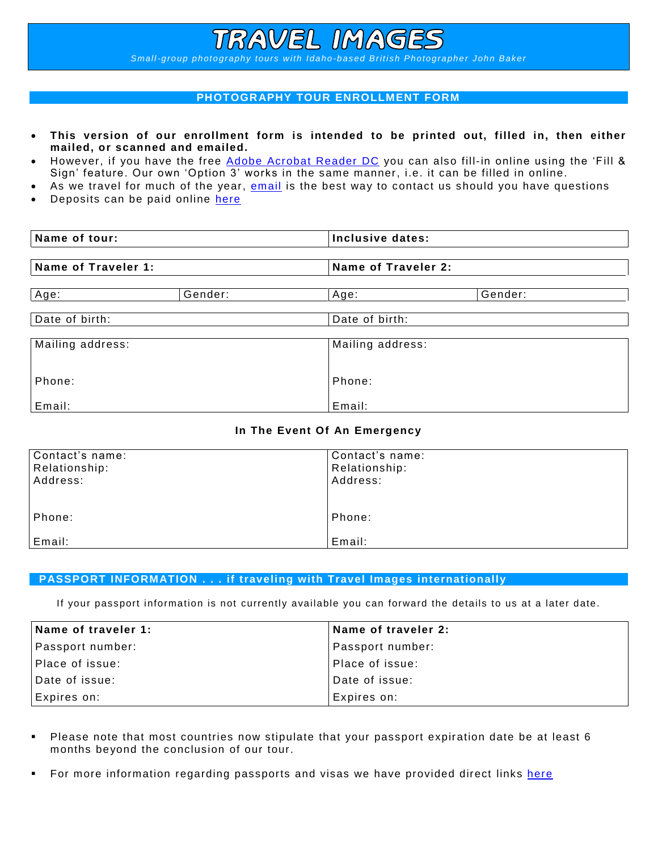TRAVEL IMAGES *Small-group photography tours with Idaho-based British Photographer John Baker*

## **PHOTOGRAPHY TOUR ENROLLMENT FORM**

- **This version of our enrollment form is intended to be printed out, filled in, then either mailed, or scanned and emailed.**
- However, if you have the free [Adobe Acrobat Reader](https://get.adobe.com/reader/) DC you can also fill-in online using the 'Fill & Sign' feature. Our own 'Option 3' works in the same manner, i.e. it can be filled in online.
- As we travel for much of the year, [email](mailto:phototravel@travelimages.com?subject=I%20have%20a%20question%20regarding%20.%20.%20.) is the best way to contact us should you have questions
- Deposits can be paid online [here](http://www.travelimages.com/enrollment-for-photo-tour.html#onlinepayment)

| Name of tour:<br>Name of Traveler 1: |         | Inclusive dates:    |         |
|--------------------------------------|---------|---------------------|---------|
|                                      |         | Name of Traveler 2: |         |
| Age:                                 | Gender: | Age:                | Gender: |
| Date of birth:                       |         | Date of birth:      |         |
| Mailing address:                     |         | Mailing address:    |         |
| Phone:                               |         | Phone:              |         |
| Email:                               |         | Email:              |         |

#### **In The Event Of An Emergency**

| Contact's name:<br>Relationship:<br>Address: | Contact's name:<br>Relationship:<br>Address: |
|----------------------------------------------|----------------------------------------------|
| Phone:                                       | Phone:                                       |
| Email:                                       | Email:                                       |

#### **PASSPORT INFORMATION . . . if traveling with Travel Images internationally**

If your passport information is not currently available you can forward the details to us at a later date.

| Name of traveler 1: | Name of traveler 2: |
|---------------------|---------------------|
| Passport number:    | Passport number:    |
| Place of issue:     | Place of issue:     |
| Date of issue: I    | Date of issue:      |
| Expires on:         | Expires on:         |

- Please note that most countries now stipulate that your passport expiration date be at least 6 months beyond the conclusion of our tour.
- For more information regarding passports and visas we have provided direct links [here](http://www.travelimages.com/resources-photography-and-travel.html#passportvisa)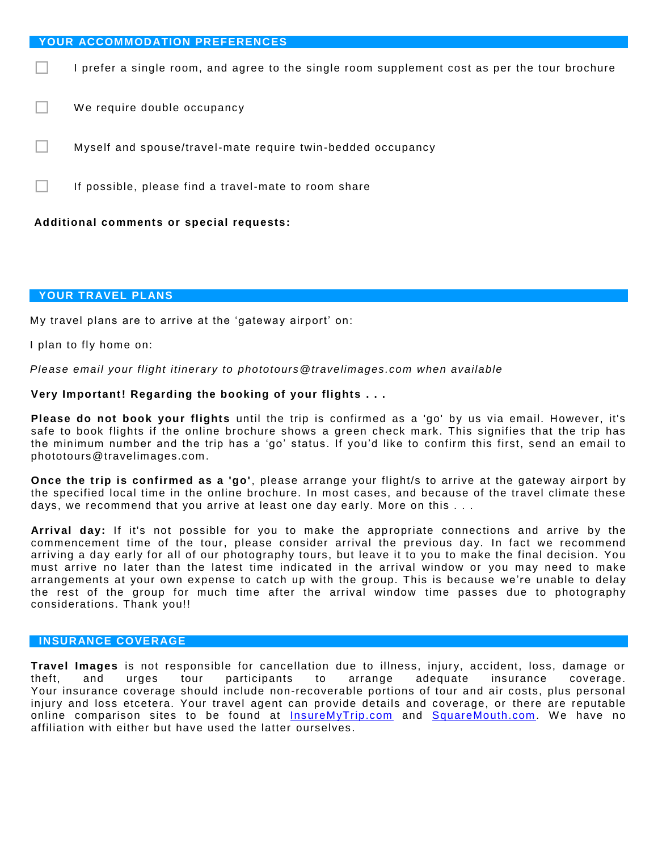# **YOUR ACCOMMODATION PREFERENCES** I prefer a single room, and agree to the single room supplement cost as per the tour brochure We require double occupancy Myself and spouse/travel-mate require twin-bedded occupancy If possible, please find a travel-mate to room share **Additional comments or special requests:**

#### **YOUR TRAVEL PLANS**

My travel plans are to arrive at the 'gateway airport' on:

I plan to fly home on:

*Please email your flight itinerary to phototours@travelimages.com when available*

## **Very Important! Regarding the booking of your flights . . .**

**Please do not book your flights** until the trip is confirmed as a 'go' by us via email. However, it's safe to book flights if the online brochure shows a green check mark. This signifies that the trip has the minimum number and the trip has a 'go' status. If you'd like to confirm this first, send an email to phototours@travelimages.com .

**Once the trip is confirmed as a 'go'**, please arrange your flight/s to arrive at the gateway airport by the specified local time in the online brochure. In most cases, and because of the travel climate these days, we recommend that you arrive at least one day early. More on this . . .

**Arrival day:** If it's not possible for you to make the appropriate connections and arrive by the commencement time of the tour, please consider arrival the previous day. In fact we recommend arriving a day early for all of our photography tours, but leave it to you to make the final decision. You must arrive no later than the latest time indicated in the arrival window or you may need to make arrangements at your own expense to catch up with the group. This is because we're unable to delay the rest of the group for much time after the arrival window time passes due to photography considerations. Thank you!!

# **INSURANCE COVERAGE**

**Travel Images** is not responsible for cancellation due to illness, injury, accident, loss, damage or theft, and urges tour participants to arrange adequate insurance coverage. Your insurance coverage should include non-recoverable portions of tour and air costs, plus personal injury and loss etcetera. Your travel agent can provide details and coverage, or there are reputable online comparison sites to be found at [InsureMyTrip.com](http://www.insuremytrip.com/) and [SquareMouth.com.](https://www.squaremouth.com/) We have no affiliation with either but have used the latter ourselves.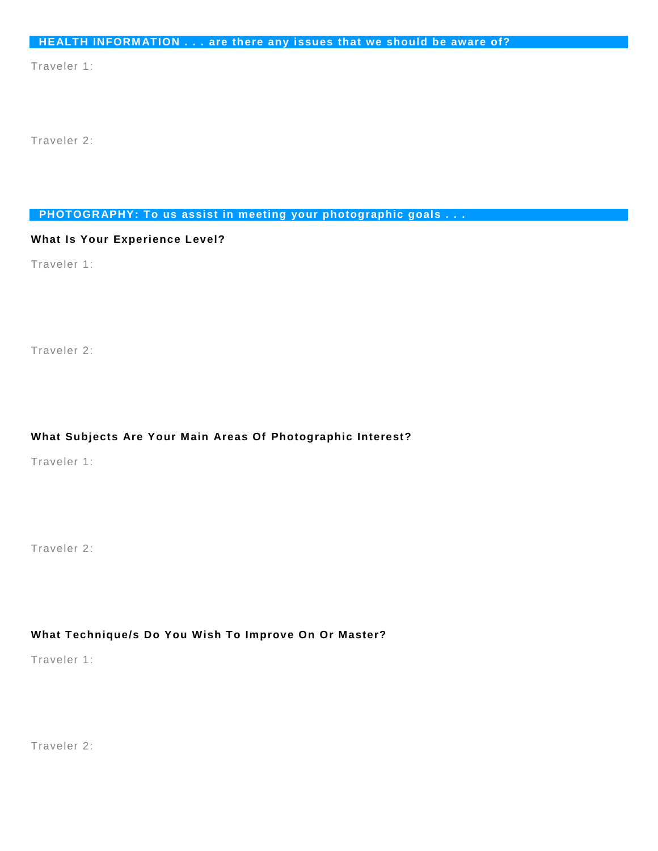Traveler 1:

Traveler 2:

 **PHOTOGRAPHY: To us assist in meeting your photographic goals . . .**

#### **What Is Your Experience Level?**

Traveler 1:

Traveler 2:

### **What Subjects Are Your Main Areas Of Photographic Interest?**

Traveler 1:

Traveler 2:

**What Technique/s Do You Wish To Improve On Or Master?**

Traveler 1:

Traveler 2: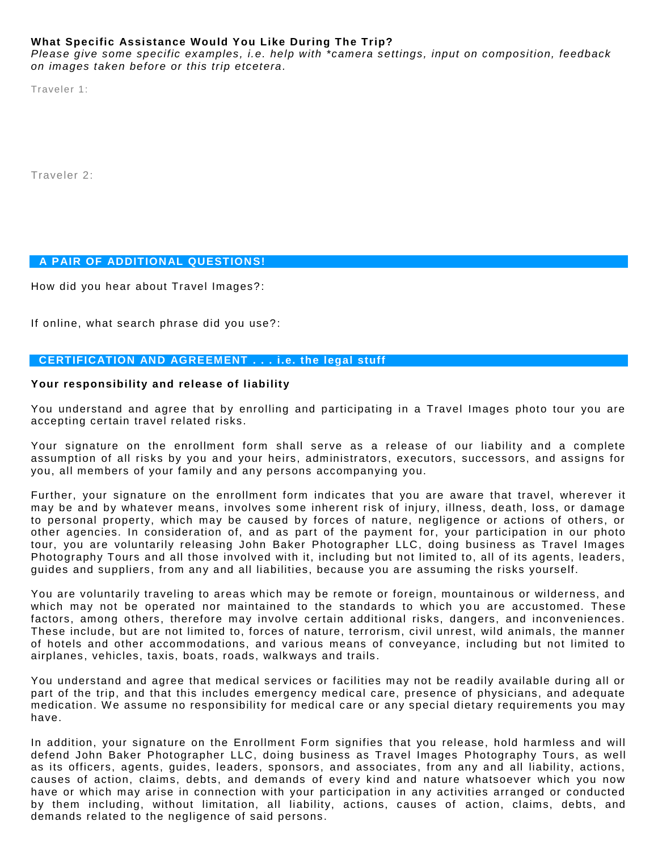### **What Specific Assistance Would You Like During The Trip?**

*Please give some specific examples, i.e. help with \*camera settings, input on composition, feedback on images taken before or this trip etcetera.*

Traveler 1:

Traveler 2:

### **A PAIR OF ADDITIONAL QUESTIONS!**

How did you hear about Travel Images?:

If online, what search phrase did you use?:

#### **CERTIFICATION AND AGREEMENT . . . i.e. the legal stuff**

#### **Your responsibility and release of liability**

You understand and agree that by enrolling and participating in a Travel Images photo tour you are accepting certain travel related risks.

Your signature on the enrollment form shall serve as a release of our liability and a complete assumption of all risks by you and your heirs, administrators, executors, successors, and assigns for you, all members of your family and any persons accompanying you.

Further, your signature on the enrollment form indicates that you are aware that travel, wherever it may be and by whatever means, involves some inherent risk of injury, illness, death, loss, or damage to personal property, which may be caused by forces of nature, negligence or actions of others, or other agencies. In consideration of, and as part of the payment for, your participation in our photo tour, you are voluntarily releasing John Baker Photographer LLC, doing business as Travel Images Photography Tours and all those involved with it, including but not limited to, all of its agents, leaders, quides and suppliers, from any and all liabilities, because you are assuming the risks yourself.

You are voluntarily traveling to areas which may be remote or foreign, mountainous or wilderness, and which may not be operated nor maintained to the standards to which you are accustomed. These factors, among others, therefore may involve certain additional risks, dangers, and inconveniences. These include, but are not limited to, forces of nature, terrorism, civil unrest, wild animals, the manner of hotels and other accommodations, and various means of conveyance, including but not limited to airplanes, vehicles, taxis, boats, roads, walkways and trails.

You understand and agree that medical services or facilities may not be readily available during all or part of the trip, and that this includes emergency medical care, presence of physicians, and adequate medication. We assume no responsibility for medical care or any special dietary requirements you may have.

In addition, your signature on the Enrollment Form signifies that you release, hold harmless and will defend John Baker Photographer LLC, doing business as Travel Images Photography Tours, as well as its officers, agents, guides, leaders, sponsors, and associates, from any and all liability, actions, causes of action, claims, debts, and demands of every kind and nature whatsoever which you now have or which may arise in connection with your participation in any activities arranged or conducted by them including, without limitation, all liability, actions, causes of action, claims, debts, and demands related to the negligence of said persons.